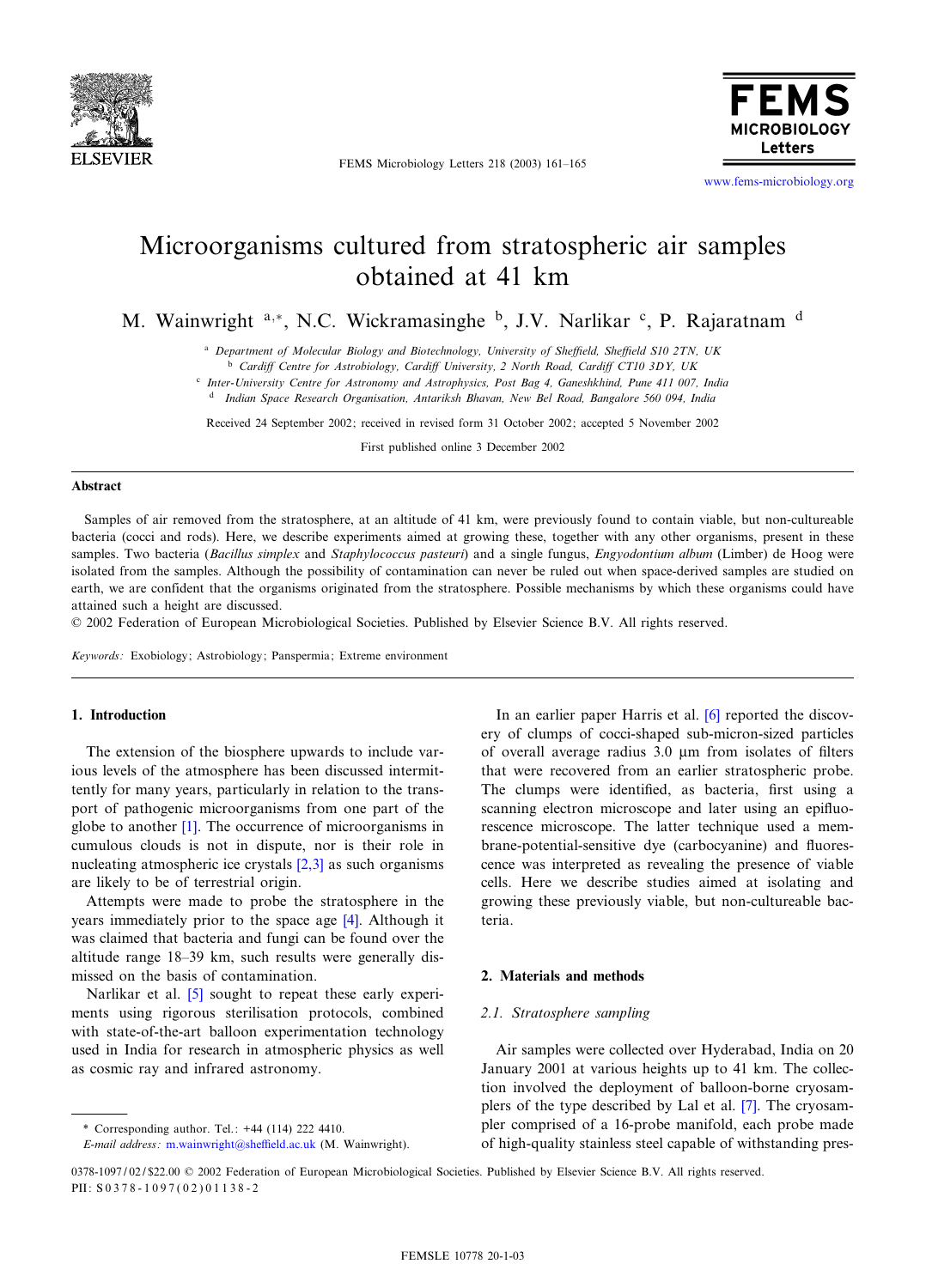

FEMS Microbiology Letters 218 (2003) 161-165



[www.fems-microbiology.org](http://www.fems-microbiology.org)

# Microorganisms cultured from stratospheric air samples obtained at 41 km

M. Wainwright a,\*, N.C. Wickramasinghe b, J.V. Narlikar c, P. Rajaratnam d

<sup>a</sup> Department of Molecular Biology and Biotechnology, University of Sheffield, Sheffield S10 2TN, UK

<sup>b</sup> Cardiff Centre for Astrobiology, Cardiff University, 2 North Road, Cardiff CT10 3DY, UK

<sup>c</sup> Inter-University Centre for Astronomy and Astrophysics, Post Bag 4, Ganeshkhind, Pune 411 007, India

<sup>d</sup> Indian Space Research Organisation, Antariksh Bhavan, New Bel Road, Bangalore 560 094, India

Received 24 September 2002; received in revised form 31 October 2002; accepted 5 November 2002

First published online 3 December 2002

#### Abstract

Samples of air removed from the stratosphere, at an altitude of 41 km, were previously found to contain viable, but non-cultureable bacteria (cocci and rods). Here, we describe experiments aimed at growing these, together with any other organisms, present in these samples. Two bacteria (Bacillus simplex and Staphylococcus pasteuri) and a single fungus, Engyodontium album (Limber) de Hoog were isolated from the samples. Although the possibility of contamination can never be ruled out when space-derived samples are studied on earth, we are confident that the organisms originated from the stratosphere. Possible mechanisms by which these organisms could have attained such a height are discussed.

5 2002 Federation of European Microbiological Societies. Published by Elsevier Science B.V. All rights reserved.

Keywords: Exobiology; Astrobiology; Panspermia; Extreme environment

# 1. Introduction

The extension of the biosphere upwards to include various levels of the atmosphere has been discussed intermittently for many years, particularly in relation to the transport of pathogenic microorganisms from one part of the globe to another [\[1\]](#page-4-0). The occurrence of microorganisms in cumulous clouds is not in dispute, nor is their role in nucleating atmospheric ice crystals [\[2,3\]](#page-4-0) as such organisms are likely to be of terrestrial origin.

Attempts were made to probe the stratosphere in the years immediately prior to the space age [\[4\]](#page-4-0). Although it was claimed that bacteria and fungi can be found over the altitude range 18-39 km, such results were generally dismissed on the basis of contamination.

Narlikar et al. [\[5\]](#page-4-0) sought to repeat these early experiments using rigorous sterilisation protocols, combined with state-of-the-art balloon experimentation technology used in India for research in atmospheric physics as well as cosmic ray and infrared astronomy.

\* Corresponding author. Tel.: +44 (114) 222 4410.

E-mail address: m.wainwright@sheffield.ac.uk (M. Wainwright).

In an earlier paper Harris et al. [\[6\]](#page-4-0) reported the discovery of clumps of cocci-shaped sub-micron-sized particles of overall average radius  $3.0 \mu m$  from isolates of filters that were recovered from an earlier stratospheric probe. The clumps were identified, as bacteria, first using a scanning electron microscope and later using an epifluorescence microscope. The latter technique used a membrane-potential-sensitive dye (carbocyanine) and fluorescence was interpreted as revealing the presence of viable cells. Here we describe studies aimed at isolating and growing these previously viable, but non-cultureable bacteria.

# 2. Materials and methods

#### 2.1. Stratosphere sampling

Air samples were collected over Hyderabad, India on 20 January 2001 at various heights up to 41 km. The collection involved the deployment of balloon-borne cryosamplers of the type described by Lal et al. [\[7\].](#page-4-0) The cryosampler comprised of a 16-probe manifold, each probe made of high-quality stainless steel capable of withstanding pres-

0378-1097/02/\$22.00 © 2002 Federation of European Microbiological Societies. Published by Elsevier Science B.V. All rights reserved. PII: S 0 3 7 8 - 1 0 9 7 ( 0 2 ) 0 1 1 3 8 - 2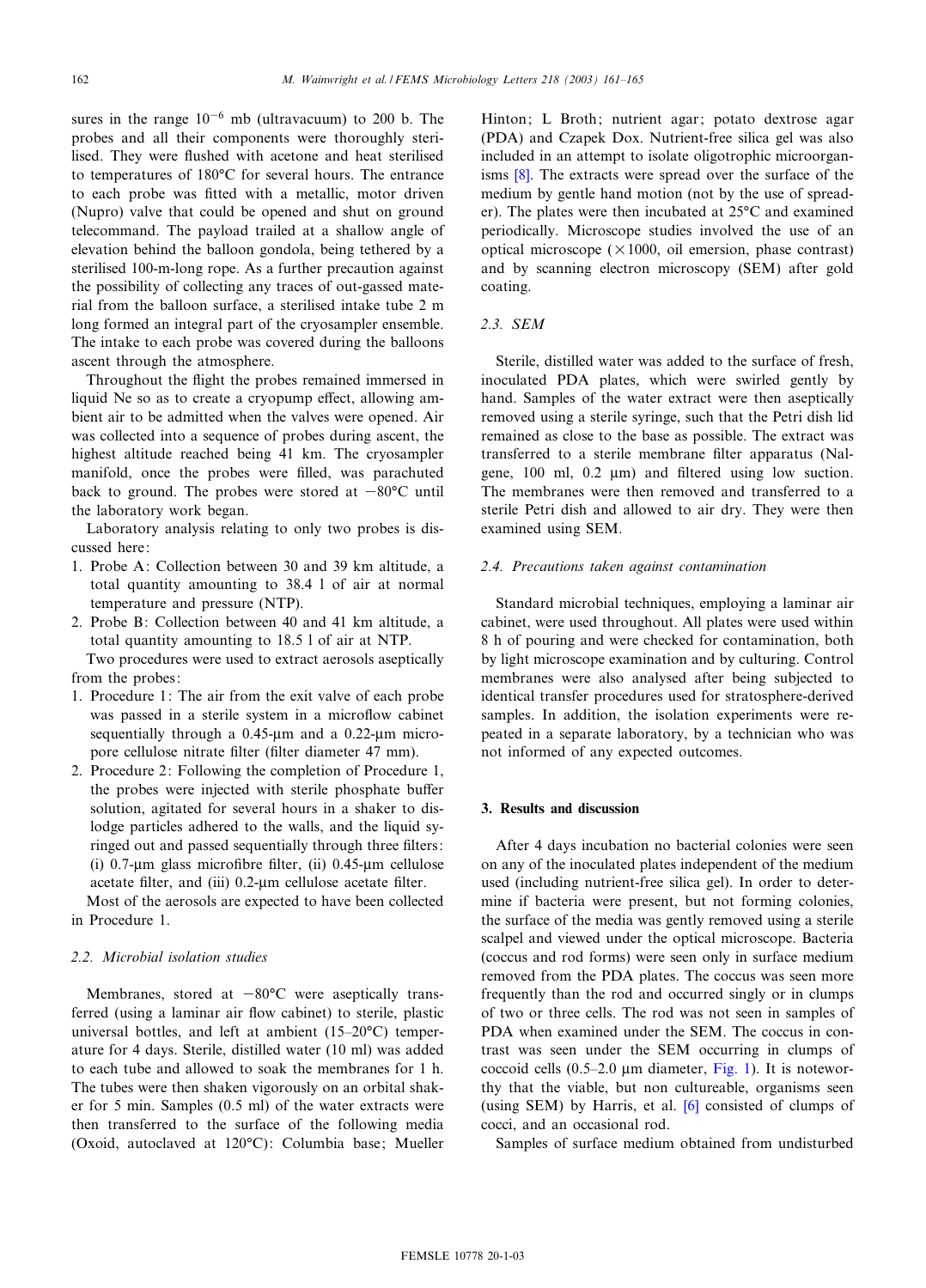sures in the range  $10^{-6}$  mb (ultravacuum) to 200 b. The probes and all their components were thoroughly sterilised. They were flushed with acetone and heat sterilised to temperatures of 180°C for several hours. The entrance to each probe was fitted with a metallic, motor driven (Nupro) valve that could be opened and shut on ground telecommand. The payload trailed at a shallow angle of elevation behind the balloon gondola, being tethered by a sterilised 100-m-long rope. As a further precaution against the possibility of collecting any traces of out-gassed material from the balloon surface, a sterilised intake tube 2 m long formed an integral part of the cryosampler ensemble. The intake to each probe was covered during the balloons ascent through the atmosphere.

Throughout the flight the probes remained immersed in liquid Ne so as to create a cryopump effect, allowing ambient air to be admitted when the valves were opened. Air was collected into a sequence of probes during ascent, the highest altitude reached being 41 km. The cryosampler manifold, once the probes were filled, was parachuted back to ground. The probes were stored at  $-80^{\circ}$ C until the laboratory work began.

Laboratory analysis relating to only two probes is discussed here:

- 1. Probe A: Collection between 30 and 39 km altitude, a total quantity amounting to 38.4 l of air at normal temperature and pressure (NTP).
- 2. Probe B: Collection between 40 and 41 km altitude, a total quantity amounting to 18.5 l of air at NTP.

Two procedures were used to extract aerosols aseptically from the probes:

- 1. Procedure 1: The air from the exit valve of each probe was passed in a sterile system in a microflow cabinet sequentially through a  $0.45$ - $\mu$ m and a  $0.22$ - $\mu$ m micropore cellulose nitrate filter (filter diameter 47 mm).
- 2. Procedure 2: Following the completion of Procedure 1, the probes were injected with sterile phosphate buffer solution, agitated for several hours in a shaker to dislodge particles adhered to the walls, and the liquid syringed out and passed sequentially through three filters: (i) 0.7- $\mu$ m glass microfibre filter, (ii) 0.45- $\mu$ m cellulose acetate filter, and (iii) 0.2-um cellulose acetate filter.

Most of the aerosols are expected to have been collected in Procedure 1.

# 2.2. Microbial isolation studies

Membranes, stored at  $-80^{\circ}$ C were aseptically transferred (using a laminar air flow cabinet) to sterile, plastic universal bottles, and left at ambient  $(15-20°C)$  temperature for 4 days. Sterile, distilled water (10 ml) was added to each tube and allowed to soak the membranes for 1 h. The tubes were then shaken vigorously on an orbital shaker for 5 min. Samples (0.5 ml) of the water extracts were then transferred to the surface of the following media (Oxoid, autoclaved at 120°C): Columbia base; Mueller Hinton; L Broth; nutrient agar; potato dextrose agar (PDA) and Czapek Dox. Nutrient-free silica gel was also included in an attempt to isolate oligotrophic microorganisms [\[8\]](#page-4-0). The extracts were spread over the surface of the medium by gentle hand motion (not by the use of spreader). The plates were then incubated at  $25^{\circ}$ C and examined periodically. Microscope studies involved the use of an optical microscope ( $\times$ 1000, oil emersion, phase contrast) and by scanning electron microscopy (SEM) after gold coating.

## 2.3. SEM

Sterile, distilled water was added to the surface of fresh, inoculated PDA plates, which were swirled gently by hand. Samples of the water extract were then aseptically removed using a sterile syringe, such that the Petri dish lid remained as close to the base as possible. The extract was transferred to a sterile membrane filter apparatus (Nalgene,  $100$  ml,  $0.2 \mu m$  and filtered using low suction. The membranes were then removed and transferred to a sterile Petri dish and allowed to air dry. They were then examined using SEM.

# 2.4. Precautions taken against contamination

Standard microbial techniques, employing a laminar air cabinet, were used throughout. All plates were used within 8 h of pouring and were checked for contamination, both by light microscope examination and by culturing. Control membranes were also analysed after being subjected to identical transfer procedures used for stratosphere-derived samples. In addition, the isolation experiments were repeated in a separate laboratory, by a technician who was not informed of any expected outcomes.

#### 3. Results and discussion

After 4 days incubation no bacterial colonies were seen on any of the inoculated plates independent of the medium used (including nutrient-free silica gel). In order to determine if bacteria were present, but not forming colonies, the surface of the media was gently removed using a sterile scalpel and viewed under the optical microscope. Bacteria (coccus and rod forms) were seen only in surface medium removed from the PDA plates. The coccus was seen more frequently than the rod and occurred singly or in clumps of two or three cells. The rod was not seen in samples of PDA when examined under the SEM. The coccus in contrast was seen under the SEM occurring in clumps of coccoid cells  $(0.5-2.0 \text{ µm diameter}, \text{Fig. 1})$ . It is noteworthy that the viable, but non cultureable, organisms seen (using SEM) by Harris, et al. [\[6\]](#page-4-0) consisted of clumps of cocci, and an occasional rod.

Samples of surface medium obtained from undisturbed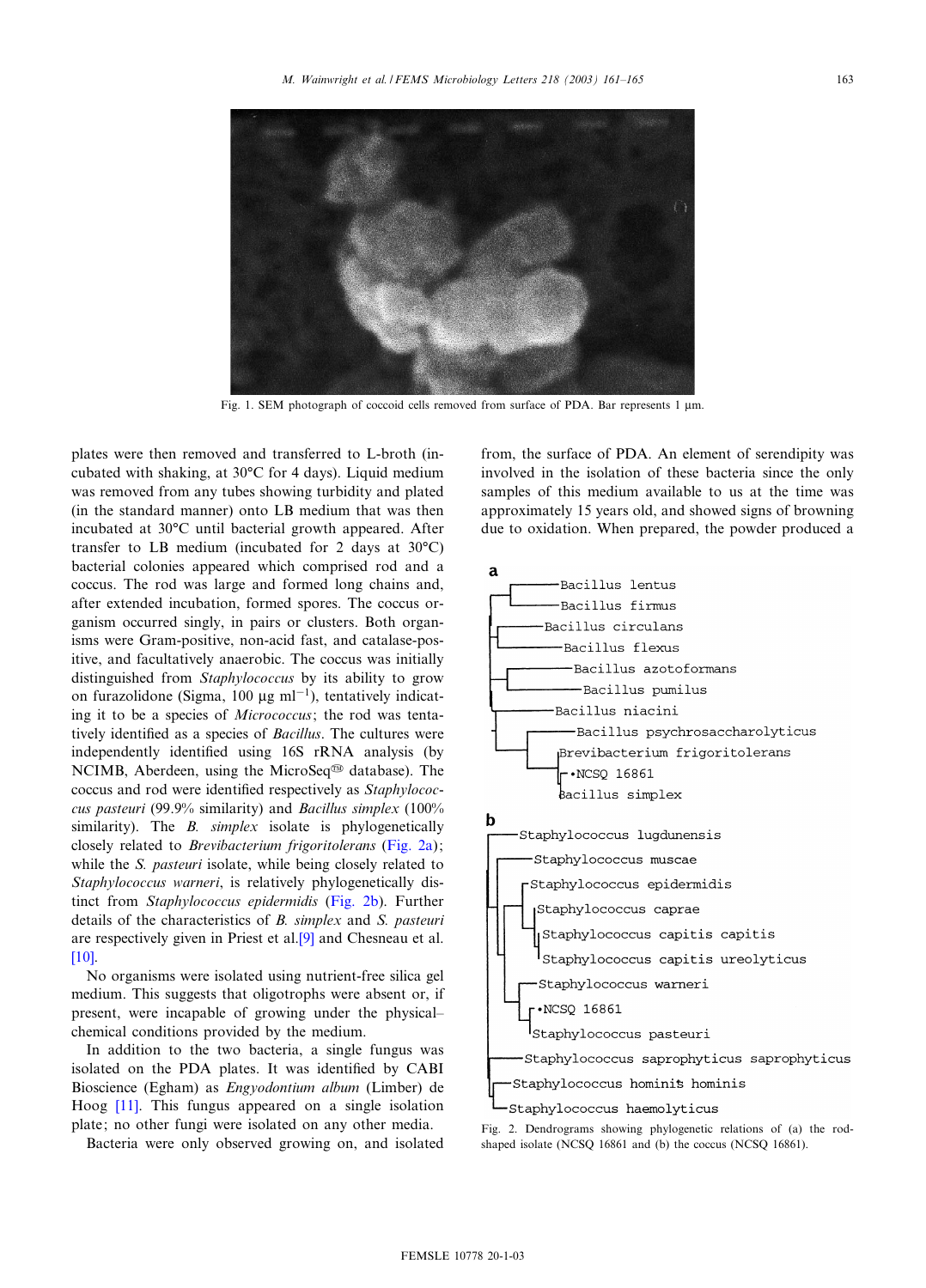<span id="page-2-0"></span>

Fig. 1. SEM photograph of coccoid cells removed from surface of PDA. Bar represents  $1 \mu m$ .

plates were then removed and transferred to L-broth (incubated with shaking, at  $30^{\circ}$ C for 4 days). Liquid medium was removed from any tubes showing turbidity and plated (in the standard manner) onto LB medium that was then incubated at 30°C until bacterial growth appeared. After transfer to LB medium (incubated for 2 days at  $30^{\circ}$ C) bacterial colonies appeared which comprised rod and a coccus. The rod was large and formed long chains and, after extended incubation, formed spores. The coccus organism occurred singly, in pairs or clusters. Both organisms were Gram-positive, non-acid fast, and catalase-positive, and facultatively anaerobic. The coccus was initially distinguished from *Staphylococcus* by its ability to grow on furazolidone (Sigma, 100  $\mu$ g ml<sup>-1</sup>), tentatively indicating it to be a species of Micrococcus; the rod was tentatively identified as a species of Bacillus. The cultures were independently identified using 16S rRNA analysis (by NCIMB, Aberdeen, using the MicroSeq<sup>®</sup> database). The coccus and rod were identified respectively as Staphylococcus pasteuri (99.9% similarity) and Bacillus simplex (100% similarity). The *B. simplex* isolate is phylogenetically closely related to Brevibacterium frigoritolerans (Fig. 2a); while the S. pasteuri isolate, while being closely related to Staphylococcus warneri, is relatively phylogenetically distinct from Staphylococcus epidermidis (Fig. 2b). Further details of the characteristics of B. simplex and S. pasteuri are respectively given in Priest et al.[\[9\]](#page-4-0) and Chesneau et al. [\[10\].](#page-4-0)

No organisms were isolated using nutrient-free silica gel medium. This suggests that oligotrophs were absent or, if present, were incapable of growing under the physical^ chemical conditions provided by the medium.

In addition to the two bacteria, a single fungus was isolated on the PDA plates. It was identified by CABI Bioscience (Egham) as Engyodontium album (Limber) de Hoog [\[11\]](#page-4-0). This fungus appeared on a single isolation plate; no other fungi were isolated on any other media.

Bacteria were only observed growing on, and isolated

from, the surface of PDA. An element of serendipity was involved in the isolation of these bacteria since the only samples of this medium available to us at the time was approximately 15 years old, and showed signs of browning due to oxidation. When prepared, the powder produced a



Fig. 2. Dendrograms showing phylogenetic relations of (a) the rodshaped isolate (NCSQ 16861 and (b) the coccus (NCSQ 16861).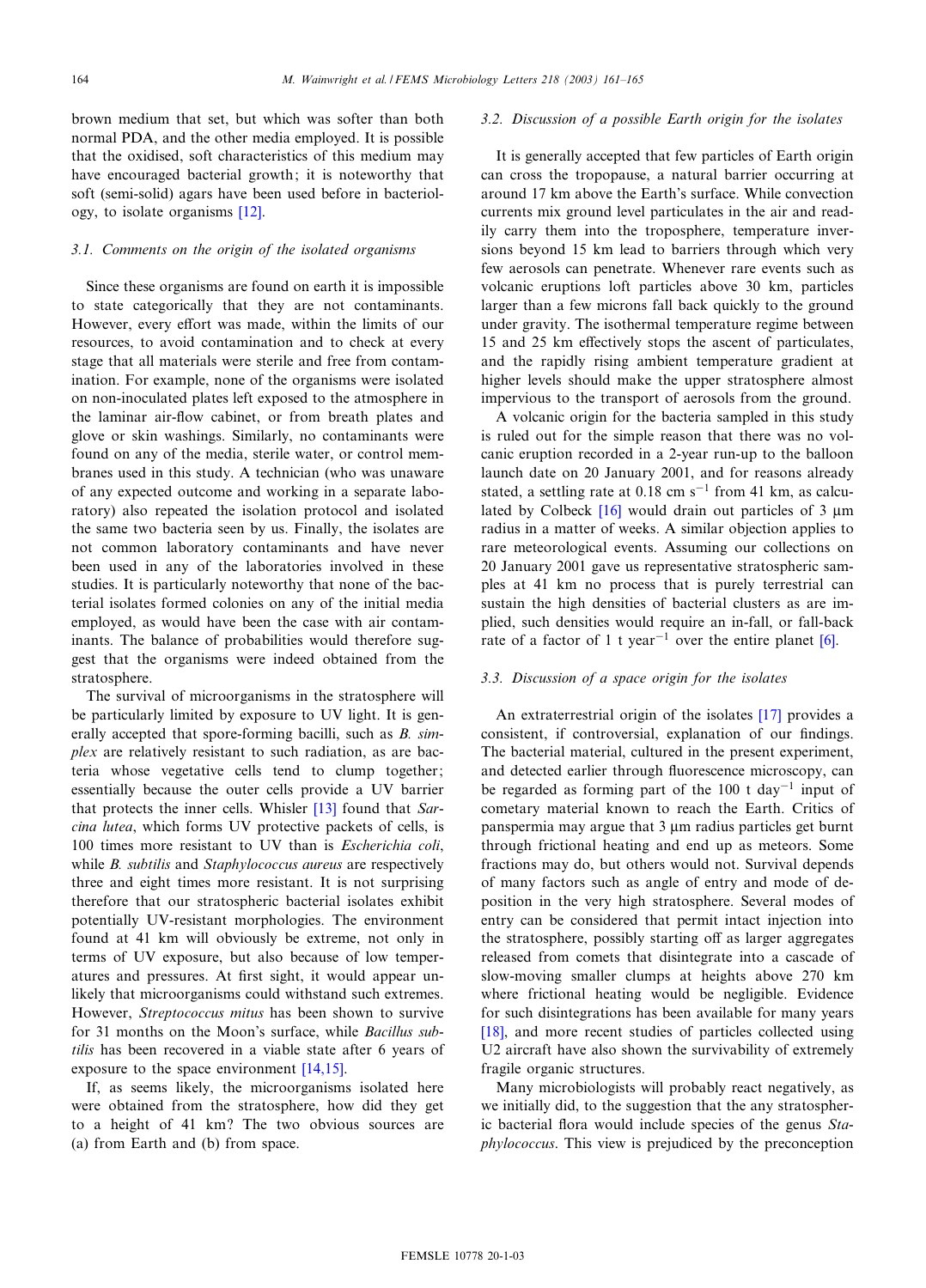brown medium that set, but which was softer than both normal PDA, and the other media employed. It is possible that the oxidised, soft characteristics of this medium may have encouraged bacterial growth; it is noteworthy that soft (semi-solid) agars have been used before in bacteriology, to isolate organisms [\[12\]](#page-4-0).

#### 3.1. Comments on the origin of the isolated organisms

Since these organisms are found on earth it is impossible to state categorically that they are not contaminants. However, every effort was made, within the limits of our resources, to avoid contamination and to check at every stage that all materials were sterile and free from contamination. For example, none of the organisms were isolated on non-inoculated plates left exposed to the atmosphere in the laminar air-flow cabinet, or from breath plates and glove or skin washings. Similarly, no contaminants were found on any of the media, sterile water, or control membranes used in this study. A technician (who was unaware of any expected outcome and working in a separate laboratory) also repeated the isolation protocol and isolated the same two bacteria seen by us. Finally, the isolates are not common laboratory contaminants and have never been used in any of the laboratories involved in these studies. It is particularly noteworthy that none of the bacterial isolates formed colonies on any of the initial media employed, as would have been the case with air contaminants. The balance of probabilities would therefore suggest that the organisms were indeed obtained from the stratosphere.

The survival of microorganisms in the stratosphere will be particularly limited by exposure to UV light. It is generally accepted that spore-forming bacilli, such as *B. sim*plex are relatively resistant to such radiation, as are bacteria whose vegetative cells tend to clump together; essentially because the outer cells provide a UV barrier that protects the inner cells. Whisler [\[13\]](#page-4-0) found that Sarcina lutea, which forms UV protective packets of cells, is 100 times more resistant to UV than is Escherichia coli, while B. subtilis and Staphylococcus aureus are respectively three and eight times more resistant. It is not surprising therefore that our stratospheric bacterial isolates exhibit potentially UV-resistant morphologies. The environment found at 41 km will obviously be extreme, not only in terms of UV exposure, but also because of low temperatures and pressures. At first sight, it would appear unlikely that microorganisms could withstand such extremes. However, Streptococcus mitus has been shown to survive for 31 months on the Moon's surface, while Bacillus subtilis has been recovered in a viable state after 6 years of exposure to the space environment [\[14,15\]](#page-4-0).

If, as seems likely, the microorganisms isolated here were obtained from the stratosphere, how did they get to a height of 41 km? The two obvious sources are (a) from Earth and (b) from space.

### 3.2. Discussion of a possible Earth origin for the isolates

It is generally accepted that few particles of Earth origin can cross the tropopause, a natural barrier occurring at around 17 km above the Earth's surface. While convection currents mix ground level particulates in the air and readily carry them into the troposphere, temperature inversions beyond 15 km lead to barriers through which very few aerosols can penetrate. Whenever rare events such as volcanic eruptions loft particles above 30 km, particles larger than a few microns fall back quickly to the ground under gravity. The isothermal temperature regime between 15 and 25 km effectively stops the ascent of particulates, and the rapidly rising ambient temperature gradient at higher levels should make the upper stratosphere almost impervious to the transport of aerosols from the ground.

A volcanic origin for the bacteria sampled in this study is ruled out for the simple reason that there was no volcanic eruption recorded in a 2-year run-up to the balloon launch date on 20 January 2001, and for reasons already stated, a settling rate at  $0.18$  cm s<sup>-1</sup> from 41 km, as calculated by Colbeck  $[16]$  would drain out particles of 3  $\mu$ m radius in a matter of weeks. A similar objection applies to rare meteorological events. Assuming our collections on 20 January 2001 gave us representative stratospheric samples at 41 km no process that is purely terrestrial can sustain the high densities of bacterial clusters as are implied, such densities would require an in-fall, or fall-back rate of a factor of 1 t year<sup>-1</sup> over the entire planet [\[6\]](#page-4-0).

#### 3.3. Discussion of a space origin for the isolates

An extraterrestrial origin of the isolates [\[17\]](#page-4-0) provides a consistent, if controversial, explanation of our findings. The bacterial material, cultured in the present experiment, and detected earlier through fluorescence microscopy, can be regarded as forming part of the  $100$  t day<sup>-1</sup> input of cometary material known to reach the Earth. Critics of panspermia may argue that  $3 \mu$ m radius particles get burnt through frictional heating and end up as meteors. Some fractions may do, but others would not. Survival depends of many factors such as angle of entry and mode of deposition in the very high stratosphere. Several modes of entry can be considered that permit intact injection into the stratosphere, possibly starting off as larger aggregates released from comets that disintegrate into a cascade of slow-moving smaller clumps at heights above 270 km where frictional heating would be negligible. Evidence for such disintegrations has been available for many years [\[18\],](#page-4-0) and more recent studies of particles collected using U2 aircraft have also shown the survivability of extremely fragile organic structures.

Many microbiologists will probably react negatively, as we initially did, to the suggestion that the any stratospheric bacterial flora would include species of the genus  $Sta$ phylococcus. This view is prejudiced by the preconception